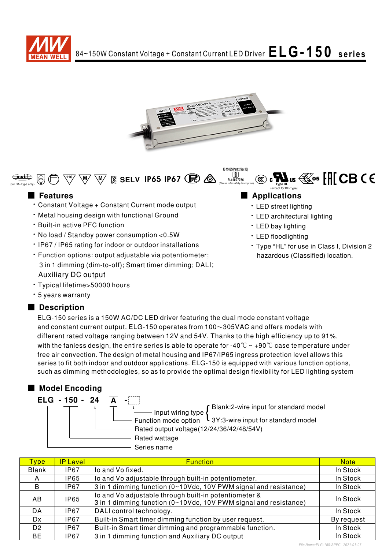

**IS 15885(Part 2/Sec13)** <u>لاگ</u><br>R-41027766

(Please refer safety description)



# **EXALUS AS A RELOCED CONTROLLY 1965 IP67 (R)**  $\circledast$  **and**  $\circledast$  **and**  $\circledast$  **and**  $\circledast$  **and**  $\circledast$  **and**  $\circledast$  $\circledast$  $\circledast$  $\circledast$  $\circledast$  $\circledast$  $\circledast$  $\circledast$  $\circledast$  $\circledast$  $\circledast$  $\circledast$  $\circledast$  $\circledast$  $\circledast$  $\circledast$  $\circledast$  **\**

- Constant Voltage + Constant Current mode output
- . Metal housing design with functional Ground
- **· Built-in active PFC function**
- . No load / Standby power consumption <0.5W
- IP67 / IP65 rating for indoor or outdoor installations
- · Function options: output adjustable via potentiometer; 3 in 1 dimming (dim-to-off); Smart timer dimming; DALI; **Auxiliary DC output**
- · Typical lifetime>50000 hours
- \* 5 years warranty

## ■ Description

ELG-150 series is a 150W AC/DC LED driver featuring the dual mode constant voltage and constant current output.  $ELG-150$  operates from  $100\sim 305$ VAC and offers models with different rated voltage ranging between 12V and 54V. Thanks to the high efficiency up to 91%, with the fanless design, the entire series is able to operate for -40  $\degree$ C ~ +90  $\degree$ C case temperature under free air convection. The design of metal housing and IP67/IP65 ingress protection level allows this series to fit both indoor and outdoor applications. ELG-150 is equipped with various function options, such as dimming methodologies, so as to provide the optimal design flexibility for LED lighting system

## ■ Model Encoding

| ELG - 150 - 24 |                                                            |
|----------------|------------------------------------------------------------|
|                | Blank:2-wire input for standard model<br>Input wiring type |
|                |                                                            |
|                | Function mode option L 3Y:3-wire input for standard model  |
|                | Rated output voltage(12/24/36/42/48/54V)                   |
|                | Rated wattage                                              |
|                | Series name                                                |

| Type <sup>'</sup> | <b>IP Level</b> | <b>Function</b>                                                                                                           | <b>Note</b> |
|-------------------|-----------------|---------------------------------------------------------------------------------------------------------------------------|-------------|
| Blank             | IP67            | lo and Vo fixed.                                                                                                          | In Stock    |
| A                 | IP65            | Io and Vo adjustable through built-in potentiometer.                                                                      | In Stock    |
| B                 | <b>IP67</b>     | 3 in 1 dimming function (0~10Vdc, 10V PWM signal and resistance)                                                          | In Stock    |
| AB.               | IP65            | lo and Vo adjustable through built-in potentiometer &<br>3 in 1 dimming function (0~10Vdc, 10V PWM signal and resistance) | In Stock    |
| DA                | IP67            | DALI control technology.                                                                                                  | In Stock    |
| Dx.               | IP67            | Built-in Smart timer dimming function by user request.                                                                    | By request  |
| D <sub>2</sub>    | IP67            | Built-in Smart timer dimming and programmable function.                                                                   | In Stock    |
| BE.               | IP67            | 3 in 1 dimming function and Auxiliary DC output                                                                           | In Stock    |

# ■ Features ■ Preactions

• LED street lighting

(except for BE-Type)

- LED architectural lighting
- LED bay lighting
- LED floodlighting
- Type "HL" for use in Class I, Division 2 hazardous (Classified) location.

*File Name:ELG-150-SPEC 2021-01-07*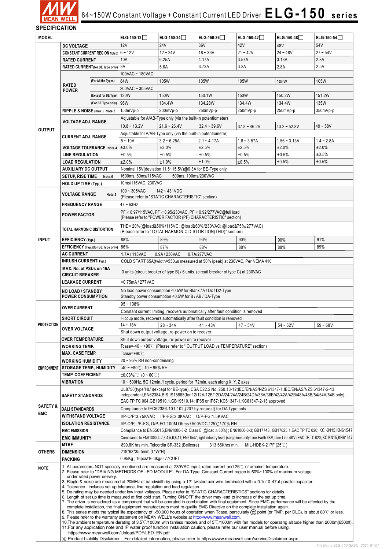

# $84\texttt{-}150\text{W}$  Constant Voltage + Constant Current LED Driver  $\color{red}\mathsf{E}\mathsf{L}\mathsf{G}$  **- 1**  $50\;\;$  **series**

**SPECIFICATION**

| <b>MODEL</b>                          |                                                                                                                                                                             | $ELG-150-12$                                                                                                                                                                                                                                                                                                                                                                                                                                                                                                                                                                                                                                                                                                                                                                                                                                                                                                                                                                                                                                                                                                                                                                                                                                                                                                                                                                                                                                                                                                | ELG-150-24                                                                                                                                                                                                                                          | ELG-150-36                                                                                                       | ELG-150-42    | $ELG-150-48$  | $ELG-150-54$   |              |  |
|---------------------------------------|-----------------------------------------------------------------------------------------------------------------------------------------------------------------------------|-------------------------------------------------------------------------------------------------------------------------------------------------------------------------------------------------------------------------------------------------------------------------------------------------------------------------------------------------------------------------------------------------------------------------------------------------------------------------------------------------------------------------------------------------------------------------------------------------------------------------------------------------------------------------------------------------------------------------------------------------------------------------------------------------------------------------------------------------------------------------------------------------------------------------------------------------------------------------------------------------------------------------------------------------------------------------------------------------------------------------------------------------------------------------------------------------------------------------------------------------------------------------------------------------------------------------------------------------------------------------------------------------------------------------------------------------------------------------------------------------------------|-----------------------------------------------------------------------------------------------------------------------------------------------------------------------------------------------------------------------------------------------------|------------------------------------------------------------------------------------------------------------------|---------------|---------------|----------------|--------------|--|
|                                       | <b>DC VOLTAGE</b>                                                                                                                                                           |                                                                                                                                                                                                                                                                                                                                                                                                                                                                                                                                                                                                                                                                                                                                                                                                                                                                                                                                                                                                                                                                                                                                                                                                                                                                                                                                                                                                                                                                                                             | 12V                                                                                                                                                                                                                                                 | <b>24V</b>                                                                                                       | 36V           | 42V           | 48V            | 54V          |  |
| <b>CONSTANT CURRENT REGION Note.2</b> |                                                                                                                                                                             | $6 - 12V$                                                                                                                                                                                                                                                                                                                                                                                                                                                                                                                                                                                                                                                                                                                                                                                                                                                                                                                                                                                                                                                                                                                                                                                                                                                                                                                                                                                                                                                                                                   | $12 - 24V$                                                                                                                                                                                                                                          | $18 - 36V$                                                                                                       | $21 - 42V$    | $24 - 48V$    | $27 - 54V$     |              |  |
|                                       | <b>RATED CURRENT</b><br>RATED CURRENT (for BE Type only)   8A                                                                                                               |                                                                                                                                                                                                                                                                                                                                                                                                                                                                                                                                                                                                                                                                                                                                                                                                                                                                                                                                                                                                                                                                                                                                                                                                                                                                                                                                                                                                                                                                                                             | 10A                                                                                                                                                                                                                                                 | 6.25A                                                                                                            | 4.17A         | 3.57A         | 3.13A          | 2.8A         |  |
|                                       |                                                                                                                                                                             |                                                                                                                                                                                                                                                                                                                                                                                                                                                                                                                                                                                                                                                                                                                                                                                                                                                                                                                                                                                                                                                                                                                                                                                                                                                                                                                                                                                                                                                                                                             |                                                                                                                                                                                                                                                     | 5.6A                                                                                                             | 3.73A         | 3.2A          | 2.8A           | 2.5A         |  |
|                                       |                                                                                                                                                                             |                                                                                                                                                                                                                                                                                                                                                                                                                                                                                                                                                                                                                                                                                                                                                                                                                                                                                                                                                                                                                                                                                                                                                                                                                                                                                                                                                                                                                                                                                                             | 100VAC ~ 180VAC                                                                                                                                                                                                                                     |                                                                                                                  |               |               |                |              |  |
|                                       |                                                                                                                                                                             | (For All the Types)                                                                                                                                                                                                                                                                                                                                                                                                                                                                                                                                                                                                                                                                                                                                                                                                                                                                                                                                                                                                                                                                                                                                                                                                                                                                                                                                                                                                                                                                                         | 84W                                                                                                                                                                                                                                                 | 105W                                                                                                             | 105W          | 105W          | 105W           | 105W         |  |
|                                       | <b>RATED</b>                                                                                                                                                                |                                                                                                                                                                                                                                                                                                                                                                                                                                                                                                                                                                                                                                                                                                                                                                                                                                                                                                                                                                                                                                                                                                                                                                                                                                                                                                                                                                                                                                                                                                             | 200VAC ~ 305VAC                                                                                                                                                                                                                                     |                                                                                                                  |               |               |                |              |  |
|                                       | <b>POWER</b>                                                                                                                                                                | (Except for BE Type)                                                                                                                                                                                                                                                                                                                                                                                                                                                                                                                                                                                                                                                                                                                                                                                                                                                                                                                                                                                                                                                                                                                                                                                                                                                                                                                                                                                                                                                                                        | 120W                                                                                                                                                                                                                                                | <b>150W</b>                                                                                                      | 150.1W        | 150W          | 150.2W         | 151.2W       |  |
|                                       |                                                                                                                                                                             | (For BE Type only)                                                                                                                                                                                                                                                                                                                                                                                                                                                                                                                                                                                                                                                                                                                                                                                                                                                                                                                                                                                                                                                                                                                                                                                                                                                                                                                                                                                                                                                                                          | 96W                                                                                                                                                                                                                                                 | 134.4W                                                                                                           | 134.28W       | 134.4W        | 134.4W         | 135W         |  |
|                                       | RIPPLE & NOISE (max.) Note.3                                                                                                                                                |                                                                                                                                                                                                                                                                                                                                                                                                                                                                                                                                                                                                                                                                                                                                                                                                                                                                                                                                                                                                                                                                                                                                                                                                                                                                                                                                                                                                                                                                                                             | 150mVp-p                                                                                                                                                                                                                                            | 200mVp-p                                                                                                         | 250mVp-p      | 250mVp-p      | 250mVp-p       | 350mVp-p     |  |
|                                       |                                                                                                                                                                             |                                                                                                                                                                                                                                                                                                                                                                                                                                                                                                                                                                                                                                                                                                                                                                                                                                                                                                                                                                                                                                                                                                                                                                                                                                                                                                                                                                                                                                                                                                             |                                                                                                                                                                                                                                                     |                                                                                                                  |               |               |                |              |  |
|                                       | <b>VOLTAGE ADJ. RANGE</b>                                                                                                                                                   |                                                                                                                                                                                                                                                                                                                                                                                                                                                                                                                                                                                                                                                                                                                                                                                                                                                                                                                                                                                                                                                                                                                                                                                                                                                                                                                                                                                                                                                                                                             | Adjustable for A/AB-Type only (via the built-in potentiometer)<br>$32.4 - 39.6V$<br>$10.8 - 13.2V$<br>$21.6 - 26.4V$<br>$37.8 - 46.2V$<br>$43.2 - 52.8V$<br>$49 - 58V$                                                                              |                                                                                                                  |               |               |                |              |  |
| <b>OUTPUT</b>                         |                                                                                                                                                                             |                                                                                                                                                                                                                                                                                                                                                                                                                                                                                                                                                                                                                                                                                                                                                                                                                                                                                                                                                                                                                                                                                                                                                                                                                                                                                                                                                                                                                                                                                                             |                                                                                                                                                                                                                                                     | Adjustable for A/AB-Type only (via the built-in potentiometer)                                                   |               |               |                |              |  |
|                                       | <b>CURRENT ADJ. RANGE</b>                                                                                                                                                   |                                                                                                                                                                                                                                                                                                                                                                                                                                                                                                                                                                                                                                                                                                                                                                                                                                                                                                                                                                                                                                                                                                                                                                                                                                                                                                                                                                                                                                                                                                             | $5 - 10A$                                                                                                                                                                                                                                           | $3.2 - 6.25A$                                                                                                    | $2.1 - 4.17A$ | $1.8 - 3.57A$ | $1.56 - 3.13A$ | $1.4 - 2.8A$ |  |
|                                       | <b>VOLTAGE TOLERANCE Note.4</b>                                                                                                                                             |                                                                                                                                                                                                                                                                                                                                                                                                                                                                                                                                                                                                                                                                                                                                                                                                                                                                                                                                                                                                                                                                                                                                                                                                                                                                                                                                                                                                                                                                                                             | ±3.0%                                                                                                                                                                                                                                               | ±3.0%                                                                                                            | ±2.5%         | ±2.5%         | ±2.0%          | ±2.0%        |  |
|                                       | <b>LINE REGULATION</b>                                                                                                                                                      |                                                                                                                                                                                                                                                                                                                                                                                                                                                                                                                                                                                                                                                                                                                                                                                                                                                                                                                                                                                                                                                                                                                                                                                                                                                                                                                                                                                                                                                                                                             | ±0.5%                                                                                                                                                                                                                                               | ±0.5%                                                                                                            | ±0.5%         | ±0.5%         | ±0.5%          | ±0.5%        |  |
|                                       | <b>LOAD REGULATION</b>                                                                                                                                                      |                                                                                                                                                                                                                                                                                                                                                                                                                                                                                                                                                                                                                                                                                                                                                                                                                                                                                                                                                                                                                                                                                                                                                                                                                                                                                                                                                                                                                                                                                                             | ±2.0%                                                                                                                                                                                                                                               | ±1.0%                                                                                                            | ±1.0%         | ±0.5%         | ±0.5%          | ±0.5%        |  |
|                                       | <b>AUXILIARY DC OUTPUT</b>                                                                                                                                                  |                                                                                                                                                                                                                                                                                                                                                                                                                                                                                                                                                                                                                                                                                                                                                                                                                                                                                                                                                                                                                                                                                                                                                                                                                                                                                                                                                                                                                                                                                                             |                                                                                                                                                                                                                                                     | Nominal 15V (deviation 11.5~15.5V) @0.3A for BE-Type only                                                        |               |               |                |              |  |
|                                       | <b>SETUP, RISE TIME</b>                                                                                                                                                     | Note.6                                                                                                                                                                                                                                                                                                                                                                                                                                                                                                                                                                                                                                                                                                                                                                                                                                                                                                                                                                                                                                                                                                                                                                                                                                                                                                                                                                                                                                                                                                      | 1600ms, 80ms/115VAC                                                                                                                                                                                                                                 | 500ms, 100ms/230VAC                                                                                              |               |               |                |              |  |
|                                       | <b>HOLD UP TIME (Typ.)</b>                                                                                                                                                  |                                                                                                                                                                                                                                                                                                                                                                                                                                                                                                                                                                                                                                                                                                                                                                                                                                                                                                                                                                                                                                                                                                                                                                                                                                                                                                                                                                                                                                                                                                             | 10ms/115VAC, 230VAC                                                                                                                                                                                                                                 |                                                                                                                  |               |               |                |              |  |
|                                       |                                                                                                                                                                             |                                                                                                                                                                                                                                                                                                                                                                                                                                                                                                                                                                                                                                                                                                                                                                                                                                                                                                                                                                                                                                                                                                                                                                                                                                                                                                                                                                                                                                                                                                             | $100 - 305$ VAC                                                                                                                                                                                                                                     | $142 - 431VDC$                                                                                                   |               |               |                |              |  |
|                                       | <b>VOLTAGE RANGE</b>                                                                                                                                                        | Note.5                                                                                                                                                                                                                                                                                                                                                                                                                                                                                                                                                                                                                                                                                                                                                                                                                                                                                                                                                                                                                                                                                                                                                                                                                                                                                                                                                                                                                                                                                                      |                                                                                                                                                                                                                                                     | (Please refer to "STATIC CHARACTERISTIC" section)                                                                |               |               |                |              |  |
|                                       | <b>FREQUENCY RANGE</b>                                                                                                                                                      |                                                                                                                                                                                                                                                                                                                                                                                                                                                                                                                                                                                                                                                                                                                                                                                                                                                                                                                                                                                                                                                                                                                                                                                                                                                                                                                                                                                                                                                                                                             | $47 - 63$ Hz                                                                                                                                                                                                                                        |                                                                                                                  |               |               |                |              |  |
|                                       |                                                                                                                                                                             |                                                                                                                                                                                                                                                                                                                                                                                                                                                                                                                                                                                                                                                                                                                                                                                                                                                                                                                                                                                                                                                                                                                                                                                                                                                                                                                                                                                                                                                                                                             |                                                                                                                                                                                                                                                     | PF ≥ 0.97/115VAC, PF ≥ 0.95/230VAC, PF ≥ 0.92/277VAC@full load                                                   |               |               |                |              |  |
|                                       | <b>POWER FACTOR</b>                                                                                                                                                         |                                                                                                                                                                                                                                                                                                                                                                                                                                                                                                                                                                                                                                                                                                                                                                                                                                                                                                                                                                                                                                                                                                                                                                                                                                                                                                                                                                                                                                                                                                             |                                                                                                                                                                                                                                                     | (Please refer to "POWER FACTOR (PF) CHARACTERISTIC" section)                                                     |               |               |                |              |  |
|                                       | <b>TOTAL HARMONIC DISTORTION</b>                                                                                                                                            |                                                                                                                                                                                                                                                                                                                                                                                                                                                                                                                                                                                                                                                                                                                                                                                                                                                                                                                                                                                                                                                                                                                                                                                                                                                                                                                                                                                                                                                                                                             |                                                                                                                                                                                                                                                     | THD<20%(@load≧50%/115VC; @load≧60%/230VAC; @load≧75%/277VAC)                                                     |               |               |                |              |  |
|                                       |                                                                                                                                                                             |                                                                                                                                                                                                                                                                                                                                                                                                                                                                                                                                                                                                                                                                                                                                                                                                                                                                                                                                                                                                                                                                                                                                                                                                                                                                                                                                                                                                                                                                                                             |                                                                                                                                                                                                                                                     | (Please refer to "TOTAL HARMONIC DISTORTION(THD)" section)                                                       |               |               |                |              |  |
| <b>INPUT</b>                          | EFFICIENCY (Typ.)                                                                                                                                                           |                                                                                                                                                                                                                                                                                                                                                                                                                                                                                                                                                                                                                                                                                                                                                                                                                                                                                                                                                                                                                                                                                                                                                                                                                                                                                                                                                                                                                                                                                                             | 88%                                                                                                                                                                                                                                                 | 89%                                                                                                              | 90%           | 90%           | 90%            | 91%          |  |
|                                       | EFFICIENCY (Typ.)(for BE Type only)                                                                                                                                         |                                                                                                                                                                                                                                                                                                                                                                                                                                                                                                                                                                                                                                                                                                                                                                                                                                                                                                                                                                                                                                                                                                                                                                                                                                                                                                                                                                                                                                                                                                             | 86%                                                                                                                                                                                                                                                 | 87%                                                                                                              | 88%           | 88%           | 88%            | 89%          |  |
|                                       | <b>AC CURRENT</b>                                                                                                                                                           |                                                                                                                                                                                                                                                                                                                                                                                                                                                                                                                                                                                                                                                                                                                                                                                                                                                                                                                                                                                                                                                                                                                                                                                                                                                                                                                                                                                                                                                                                                             | 1.7A/115VAC<br>0.9A/230VAC<br>0.7A/277VAC                                                                                                                                                                                                           |                                                                                                                  |               |               |                |              |  |
|                                       | <b>INRUSH CURRENT(Typ.)</b>                                                                                                                                                 |                                                                                                                                                                                                                                                                                                                                                                                                                                                                                                                                                                                                                                                                                                                                                                                                                                                                                                                                                                                                                                                                                                                                                                                                                                                                                                                                                                                                                                                                                                             |                                                                                                                                                                                                                                                     | COLD START 65A(twidth=550µs measured at 50% Ipeak) at 230VAC; Per NEMA 410                                       |               |               |                |              |  |
|                                       | MAX. No. of PSUs on 16A                                                                                                                                                     |                                                                                                                                                                                                                                                                                                                                                                                                                                                                                                                                                                                                                                                                                                                                                                                                                                                                                                                                                                                                                                                                                                                                                                                                                                                                                                                                                                                                                                                                                                             | 3 units (circuit breaker of type B) / 6 units (circuit breaker of type C) at 230VAC                                                                                                                                                                 |                                                                                                                  |               |               |                |              |  |
|                                       | <b>CIRCUIT BREAKER</b>                                                                                                                                                      |                                                                                                                                                                                                                                                                                                                                                                                                                                                                                                                                                                                                                                                                                                                                                                                                                                                                                                                                                                                                                                                                                                                                                                                                                                                                                                                                                                                                                                                                                                             |                                                                                                                                                                                                                                                     |                                                                                                                  |               |               |                |              |  |
|                                       | <b>LEAKAGE CURRENT</b>                                                                                                                                                      |                                                                                                                                                                                                                                                                                                                                                                                                                                                                                                                                                                                                                                                                                                                                                                                                                                                                                                                                                                                                                                                                                                                                                                                                                                                                                                                                                                                                                                                                                                             | <0.75mA/277VAC                                                                                                                                                                                                                                      |                                                                                                                  |               |               |                |              |  |
|                                       | <b>NO LOAD / STANDBY</b><br><b>POWER CONSUMPTION</b>                                                                                                                        |                                                                                                                                                                                                                                                                                                                                                                                                                                                                                                                                                                                                                                                                                                                                                                                                                                                                                                                                                                                                                                                                                                                                                                                                                                                                                                                                                                                                                                                                                                             |                                                                                                                                                                                                                                                     | No load power consumption <0.5W for Blank / A / Dx / D2-Type                                                     |               |               |                |              |  |
|                                       |                                                                                                                                                                             |                                                                                                                                                                                                                                                                                                                                                                                                                                                                                                                                                                                                                                                                                                                                                                                                                                                                                                                                                                                                                                                                                                                                                                                                                                                                                                                                                                                                                                                                                                             |                                                                                                                                                                                                                                                     | Standby power consumption <0.5W for B / AB / DA-Type                                                             |               |               |                |              |  |
|                                       | <b>OVER CURRENT</b>                                                                                                                                                         |                                                                                                                                                                                                                                                                                                                                                                                                                                                                                                                                                                                                                                                                                                                                                                                                                                                                                                                                                                                                                                                                                                                                                                                                                                                                                                                                                                                                                                                                                                             | $95 - 108%$<br>Constant current limiting, recovers automatically after fault condition is removed                                                                                                                                                   |                                                                                                                  |               |               |                |              |  |
|                                       | <b>SHORT CIRCUIT</b>                                                                                                                                                        |                                                                                                                                                                                                                                                                                                                                                                                                                                                                                                                                                                                                                                                                                                                                                                                                                                                                                                                                                                                                                                                                                                                                                                                                                                                                                                                                                                                                                                                                                                             |                                                                                                                                                                                                                                                     | Hiccup mode, recovers automatically after fault condition is removed                                             |               |               |                |              |  |
| <b>PROTECTION</b>                     |                                                                                                                                                                             |                                                                                                                                                                                                                                                                                                                                                                                                                                                                                                                                                                                                                                                                                                                                                                                                                                                                                                                                                                                                                                                                                                                                                                                                                                                                                                                                                                                                                                                                                                             | $14 - 18V$                                                                                                                                                                                                                                          | $ 28 - 34V$                                                                                                      | $ 41 - 48V$   | $47 - 54V$    | $54 - 62V$     | 59 ~ 68V     |  |
|                                       | <b>OVER VOLTAGE</b>                                                                                                                                                         |                                                                                                                                                                                                                                                                                                                                                                                                                                                                                                                                                                                                                                                                                                                                                                                                                                                                                                                                                                                                                                                                                                                                                                                                                                                                                                                                                                                                                                                                                                             |                                                                                                                                                                                                                                                     | Shut down output voltage, re-power on to recover                                                                 |               |               |                |              |  |
|                                       | <b>OVER TEMPERATURE</b>                                                                                                                                                     |                                                                                                                                                                                                                                                                                                                                                                                                                                                                                                                                                                                                                                                                                                                                                                                                                                                                                                                                                                                                                                                                                                                                                                                                                                                                                                                                                                                                                                                                                                             |                                                                                                                                                                                                                                                     | Shut down output voltage, re-power on to recover                                                                 |               |               |                |              |  |
|                                       | <b>WORKING TEMP.</b>                                                                                                                                                        |                                                                                                                                                                                                                                                                                                                                                                                                                                                                                                                                                                                                                                                                                                                                                                                                                                                                                                                                                                                                                                                                                                                                                                                                                                                                                                                                                                                                                                                                                                             |                                                                                                                                                                                                                                                     | Tcase=-40 ~ +90℃ (Please refer to "OUTPUT LOAD vs TEMPERATURE" section)                                          |               |               |                |              |  |
|                                       | <b>MAX. CASE TEMP.</b>                                                                                                                                                      |                                                                                                                                                                                                                                                                                                                                                                                                                                                                                                                                                                                                                                                                                                                                                                                                                                                                                                                                                                                                                                                                                                                                                                                                                                                                                                                                                                                                                                                                                                             | Tcase=+90 $°C$                                                                                                                                                                                                                                      |                                                                                                                  |               |               |                |              |  |
|                                       | <b>WORKING HUMIDITY</b>                                                                                                                                                     |                                                                                                                                                                                                                                                                                                                                                                                                                                                                                                                                                                                                                                                                                                                                                                                                                                                                                                                                                                                                                                                                                                                                                                                                                                                                                                                                                                                                                                                                                                             | $20 \sim 95\%$ RH non-condensing                                                                                                                                                                                                                    |                                                                                                                  |               |               |                |              |  |
| <b>ENVIRONMENT</b>                    | <b>STORAGE TEMP., HUMIDITY</b>                                                                                                                                              |                                                                                                                                                                                                                                                                                                                                                                                                                                                                                                                                                                                                                                                                                                                                                                                                                                                                                                                                                                                                                                                                                                                                                                                                                                                                                                                                                                                                                                                                                                             | $-40 \sim +80^{\circ}$ C, 10 ~ 95% RH                                                                                                                                                                                                               |                                                                                                                  |               |               |                |              |  |
|                                       | <b>TEMP. COEFFICIENT</b>                                                                                                                                                    |                                                                                                                                                                                                                                                                                                                                                                                                                                                                                                                                                                                                                                                                                                                                                                                                                                                                                                                                                                                                                                                                                                                                                                                                                                                                                                                                                                                                                                                                                                             | $\pm 0.03\%$ /°C (0 ~ 60°C)                                                                                                                                                                                                                         |                                                                                                                  |               |               |                |              |  |
|                                       | <b>VIBRATION</b>                                                                                                                                                            |                                                                                                                                                                                                                                                                                                                                                                                                                                                                                                                                                                                                                                                                                                                                                                                                                                                                                                                                                                                                                                                                                                                                                                                                                                                                                                                                                                                                                                                                                                             |                                                                                                                                                                                                                                                     | 10 ~ 500Hz, 5G 12min./1cycle, period for 72min. each along X, Y, Z axes                                          |               |               |                |              |  |
|                                       |                                                                                                                                                                             |                                                                                                                                                                                                                                                                                                                                                                                                                                                                                                                                                                                                                                                                                                                                                                                                                                                                                                                                                                                                                                                                                                                                                                                                                                                                                                                                                                                                                                                                                                             |                                                                                                                                                                                                                                                     | UL8750(type"HL")(except for BE-type), CSA C22.2 No. 250.13-12;IEC/EN/AS/NZS 61347-1,IEC/EN/AS/NZS 61347-2-13     |               |               |                |              |  |
|                                       | <b>SAFETY STANDARDS</b>                                                                                                                                                     |                                                                                                                                                                                                                                                                                                                                                                                                                                                                                                                                                                                                                                                                                                                                                                                                                                                                                                                                                                                                                                                                                                                                                                                                                                                                                                                                                                                                                                                                                                             |                                                                                                                                                                                                                                                     | independent,EN62384,BIS IS15885(for 12/12A/12B/12DA/24/24A/24B/24DA/36A/36B/42/42A/42B/48A/48B/54/54A/54B only), |               |               |                |              |  |
| <b>SAFETY &amp;</b>                   |                                                                                                                                                                             |                                                                                                                                                                                                                                                                                                                                                                                                                                                                                                                                                                                                                                                                                                                                                                                                                                                                                                                                                                                                                                                                                                                                                                                                                                                                                                                                                                                                                                                                                                             |                                                                                                                                                                                                                                                     | EAC TP TC 004, GB19510.1, GB19510.14; IP65 or IP67; KC61347-1, KC61347-2-13 approved                             |               |               |                |              |  |
| <b>EMC</b>                            | <b>DALI STANDARDS</b>                                                                                                                                                       |                                                                                                                                                                                                                                                                                                                                                                                                                                                                                                                                                                                                                                                                                                                                                                                                                                                                                                                                                                                                                                                                                                                                                                                                                                                                                                                                                                                                                                                                                                             |                                                                                                                                                                                                                                                     | Compliance to IEC62386-101, 102, (207 by request) for DA Type only                                               |               |               |                |              |  |
|                                       | <b>WITHSTAND VOLTAGE</b>                                                                                                                                                    |                                                                                                                                                                                                                                                                                                                                                                                                                                                                                                                                                                                                                                                                                                                                                                                                                                                                                                                                                                                                                                                                                                                                                                                                                                                                                                                                                                                                                                                                                                             | I/P-O/P:3.75KVAC I/P-FG:2.0KVAC O/P-FG:1.5KVAC                                                                                                                                                                                                      |                                                                                                                  |               |               |                |              |  |
|                                       | <b>ISOLATION RESISTANCE</b>                                                                                                                                                 |                                                                                                                                                                                                                                                                                                                                                                                                                                                                                                                                                                                                                                                                                                                                                                                                                                                                                                                                                                                                                                                                                                                                                                                                                                                                                                                                                                                                                                                                                                             | I/P-O/P, I/P-FG, O/P-FG:100M Ohms / 500VDC / 25℃/ 70% RH<br>Compliance to EN55015,EN61000-3-2 Class C (@load≧60%) ; EN61000-3-3; GB17743, GB17625.1,EAC TP TC 020; KC KN15,KN61547                                                                  |                                                                                                                  |               |               |                |              |  |
| <b>EMC EMISSION</b>                   |                                                                                                                                                                             |                                                                                                                                                                                                                                                                                                                                                                                                                                                                                                                                                                                                                                                                                                                                                                                                                                                                                                                                                                                                                                                                                                                                                                                                                                                                                                                                                                                                                                                                                                             |                                                                                                                                                                                                                                                     |                                                                                                                  |               |               |                |              |  |
|                                       | <b>EMC IMMUNITY</b><br><b>MTBF</b>                                                                                                                                          |                                                                                                                                                                                                                                                                                                                                                                                                                                                                                                                                                                                                                                                                                                                                                                                                                                                                                                                                                                                                                                                                                                                                                                                                                                                                                                                                                                                                                                                                                                             | Compliance to EN61000-4-2,3,4,5,6,8,11; EN61547, light industry level (surge immunity Line-Earth 6KV, Line-Line 4KV), EAC TP TC 020; KC KN15, KN61547<br>899.8K hrs min. Telcordia SR-332 (Bellcore)<br>313.66Khrs min.<br>MIL-HDBK-217F (25 $°C$ ) |                                                                                                                  |               |               |                |              |  |
| <b>OTHERS</b>                         | <b>DIMENSION</b>                                                                                                                                                            |                                                                                                                                                                                                                                                                                                                                                                                                                                                                                                                                                                                                                                                                                                                                                                                                                                                                                                                                                                                                                                                                                                                                                                                                                                                                                                                                                                                                                                                                                                             | 219*63*35.5mm (L*W*H)                                                                                                                                                                                                                               |                                                                                                                  |               |               |                |              |  |
|                                       | <b>PACKING</b>                                                                                                                                                              |                                                                                                                                                                                                                                                                                                                                                                                                                                                                                                                                                                                                                                                                                                                                                                                                                                                                                                                                                                                                                                                                                                                                                                                                                                                                                                                                                                                                                                                                                                             | 0.95Kg; 16pcs/16.0kg/0.77CUFT                                                                                                                                                                                                                       |                                                                                                                  |               |               |                |              |  |
| <b>NOTE</b>                           |                                                                                                                                                                             | 1. All parameters NOT specially mentioned are measured at 230VAC input, rated current and 25°C of ambient temperature.<br>2. Please refer to "DRIVING METHODS OF LED MODULE". For DA-Type, Constant Current region is 60%~100% of maximum voltage<br>under rated power delivery.<br>3. Ripple & noise are measured at 20MHz of bandwidth by using a 12" twisted pair-wire terminated with a 0.1uf & 47uf parallel capacitor.<br>4. Tolerance: includes set up tolerance, line regulation and load regulation.<br>5. De-rating may be needed under low input voltages. Please refer to "STATIC CHARACTERISTICS" sections for details.<br>6. Length of set up time is measured at first cold start. Turning ON/OFF the driver may lead to increase of the set up time.<br>7. The driver is considered as a component that will be operated in combination with final equipment. Since EMC performance will be affected by the<br>complete installation, the final equipment manufacturers must re-qualify EMC Directive on the complete installation again.<br>8. This series meets the typical life expectancy of >50,000 hours of operation when Tcase, particularly (tc) point (or TMP, per DLC), is about 80°C or less.<br>9. Please refer to the warranty statement on MEAN WELL's website at http://www.meanwell.com.<br>10. The ambient temperature derating of $3.5^{\circ}$ C/1000m with fanless models and of $5^{\circ}$ C/1000m with fan models for operating altitude higher than 2000m(6500ft). |                                                                                                                                                                                                                                                     |                                                                                                                  |               |               |                |              |  |
|                                       | 11. For any application note and IP water proof function installation caution, please refer our user manual before using.<br>https://www.meanwell.com/Upload/PDF/LED EN.pdf |                                                                                                                                                                                                                                                                                                                                                                                                                                                                                                                                                                                                                                                                                                                                                                                                                                                                                                                                                                                                                                                                                                                                                                                                                                                                                                                                                                                                                                                                                                             |                                                                                                                                                                                                                                                     |                                                                                                                  |               |               |                |              |  |

※ Product Liability Disclaimer:For detailed information, please refer to https://www.meanwell.com/serviceDisclaimer.aspx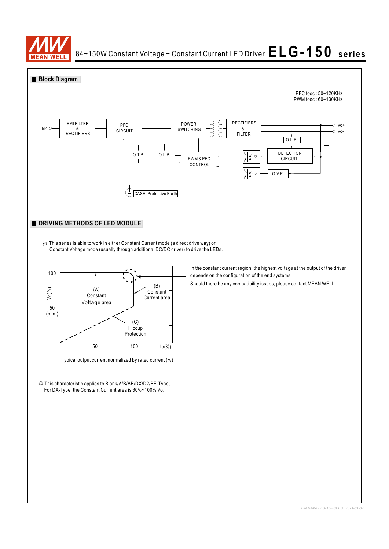

 $84\texttt{-}150\text{W}$  Constant Voltage + Constant Current LED Driver  $\textbf{E}\textbf{L}\textbf{G}$  **– 1**  $50$  series

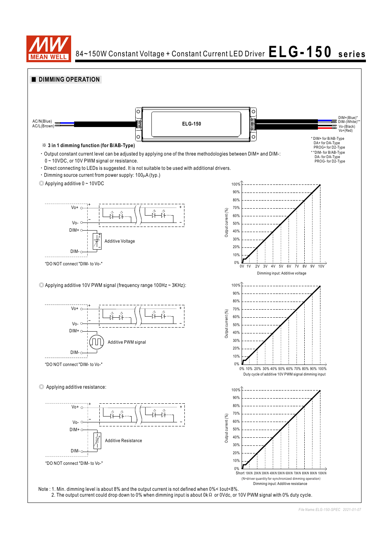

84~150W Constant Voltage + Constant Current LED Driver  $E LG - 150$  **series** 

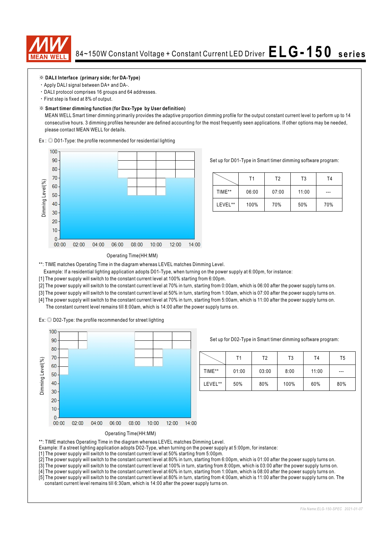

### ※ **DALI Interface (primary side; for DA-Type)**

- ‧Apply DALI signal between DA+ and DA-.
- ‧DALI protocol comprises 16 groups and 64 addresses.
- ‧First step is fixed at 8% of output.

#### ※ **Smart timer dimming function (for Dxx-Type by User definition)**

 MEAN WELL Smart timer dimming primarily provides the adaptive proportion dimming profile for the output constant current level to perform up to 14 consecutive hours. 3 dimming profiles hereunder are defined accounting for the most frequently seen applications. If other options may be needed, please contact MEAN WELL for details.

Ex : ◎ D01-Type: the profile recommended for residential lighting



Set up for D01-Type in Smart timer dimming software program:

|         | Τ1    | T2    | T3    | Τ4  |
|---------|-------|-------|-------|-----|
| TIME**  | 06:00 | 07:00 | 11:00 | --- |
| LEVEL** | 100%  | 70%   | 50%   | 70% |

#### Operating Time(HH:MM)

\*\*: TIME matches Operating Time in the diagram whereas LEVEL matches Dimming Level.

- Example: If a residential lighting application adopts D01-Type, when turning on the power supply at 6:00pm, for instance:
- [1] The power supply will switch to the constant current level at 100% starting from 6:00pm.
- [2] The power supply will switch to the constant current level at 70% in turn, starting from 0:00am, which is 06:00 after the power supply turns on.
- [3] The power supply will switch to the constant current level at 50% in turn, starting from 1:00am, which is 07:00 after the power supply turns on.
- [4] The power supply will switch to the constant current level at 70% in turn, starting from 5:00am, which is 11:00 after the power supply turns on. The constant current level remains till 8:00am, which is 14:00 after the power supply turns on.

Ex: ◎ D02-Type: the profile recommended for street lighting



Set up for D02-Type in Smart timer dimming software program:

|         | Τ1    | Т2    | T3   | T <sub>4</sub> | T5  |
|---------|-------|-------|------|----------------|-----|
| TIME**  | 01:00 | 03:00 | 8:00 | 11:00          | --- |
| LEVEL** | 50%   | 80%   | 100% | 60%            | 80% |



\*\*: TIME matches Operating Time in the diagram whereas LEVEL matches Dimming Level.

- Example: If a street lighting application adopts D02-Type, when turning on the power supply at 5:00pm, for instance:
- [1] The power supply will switch to the constant current level at 50% starting from 5:00pm.
- [2] The power supply will switch to the constant current level at 80% in turn, starting from 6:00pm, which is 01:00 after the power supply turns on.
- [3] The power supply will switch to the constant current level at 100% in turn, starting from 8:00pm, which is 03:00 after the power supply turns on.
- [4] The power supply will switch to the constant current level at 60% in turn, starting from 1:00am, which is 08:00 after the power supply turns on.

<sup>[5]</sup> The power supply will switch to the constant current level at 80% in turn, starting from 4:00am, which is 11:00 after the power supply turns on. The constant current level remains till 6:30am, which is 14:00 after the power supply turns on.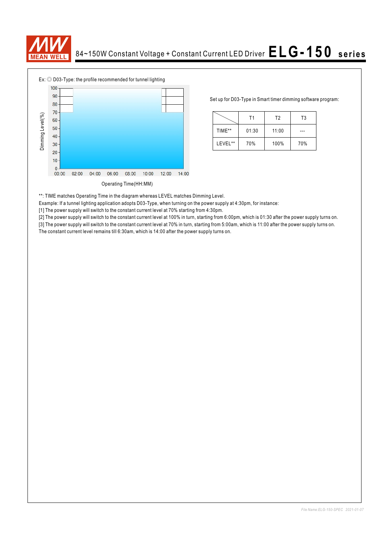



Set up for D03-Type in Smart timer dimming software program:

|         | Τ1    | T <sub>2</sub> | T3  |
|---------|-------|----------------|-----|
| TIME**  | 01:30 | 11:00          |     |
| LEVEL** | 70%   | 100%           | 70% |

\*\*: TIME matches Operating Time in the diagram whereas LEVEL matches Dimming Level.

Example: If a tunnel lighting application adopts D03-Type, when turning on the power supply at 4:30pm, for instance:

[1] The power supply will switch to the constant current level at 70% starting from 4:30pm.

[2] The power supply will switch to the constant current level at 100% in turn, starting from 6:00pm, which is 01:30 after the power supply turns on.

[3] The power supply will switch to the constant current level at 70% in turn, starting from 5:00am, which is 11:00 after the power supply turns on. The constant current level remains till 6:30am, which is 14:00 after the power supply turns on.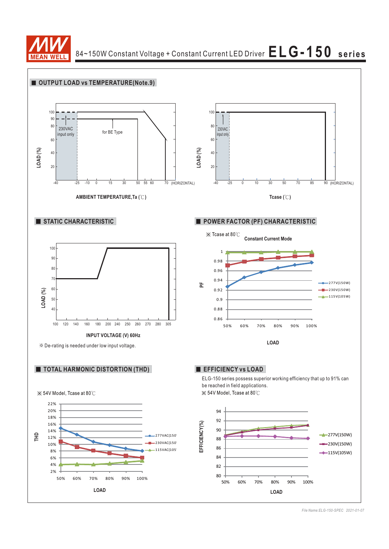

84~150W Constant Voltage + Constant Current LED Driver  $\mathsf{ELG\text{-}150}$  series

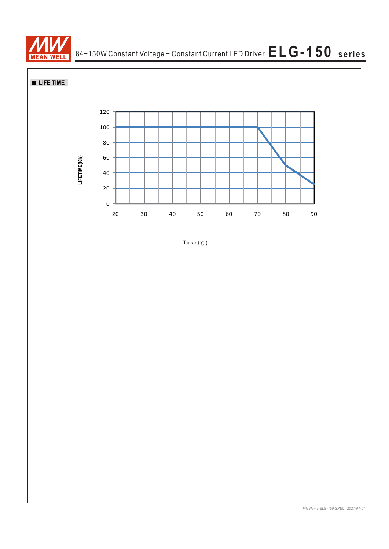

84~150W Constant Voltage + Constant Current LED Driver **ELG-150 series**

**LIFE TIME** 



Tcase  $(°C)$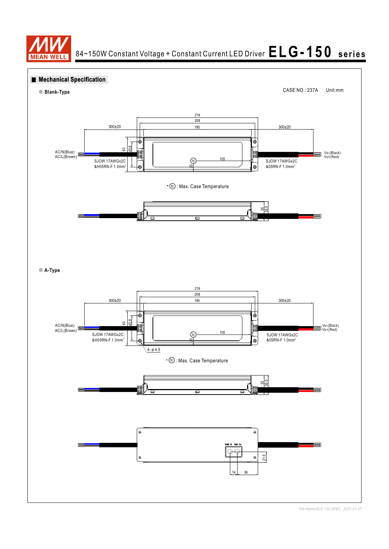

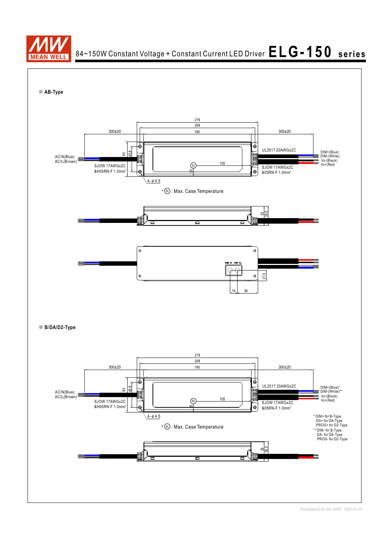

 $84\texttt{-}150\text{W}$  Constant Voltage + Constant Current LED Driver  $\textbf{E}\textbf{L}\textbf{G}$  **– 1**  $50$  series